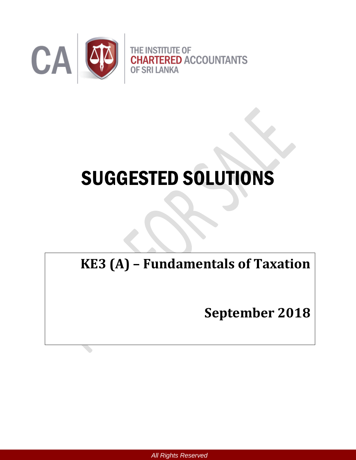

# SUGGESTED SOLUTIONS

# **KE3 (A) – Fundamentals of Taxation**

**September 2018**

*All Rights Reserved*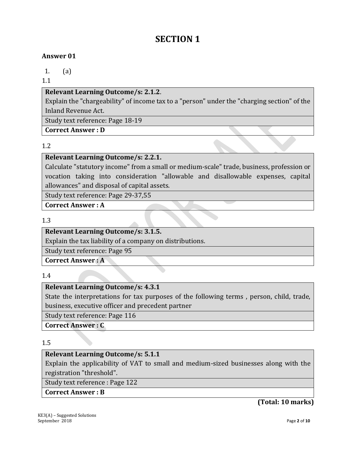# **SECTION 1**

#### **Answer 01**

1. (a)

1.1

#### **Relevant Learning Outcome/s: 2.1.2**.

Explain the "chargeability" of income tax to a "person" under the "charging section" of the Inland Revenue Act.

Study text reference: Page 18-19

**Correct Answer : D**

#### 1.2

#### **Relevant Learning Outcome/s: 2.2.1.**

Calculate "statutory income" from a small or medium-scale" trade, business, profession or vocation taking into consideration "allowable and disallowable expenses, capital allowances" and disposal of capital assets.

Study text reference: Page 29-37,55

**Correct Answer : A**

1.3

# **Relevant Learning Outcome/s: 3.1.5.**

Explain the tax liability of a company on distributions.

Study text reference: Page 95

**Correct Answer : A**

1.4

#### **Relevant Learning Outcome/s: 4.3.1**

State the interpretations for tax purposes of the following terms , person, child, trade, business, executive officer and precedent partner

Study text reference: Page 116

**Correct Answer : C**

#### 1.5

#### **Relevant Learning Outcome/s: 5.1.1**

Explain the applicability of VAT to small and medium-sized businesses along with the registration "threshold".

Study text reference : Page 122

#### **Correct Answer : B**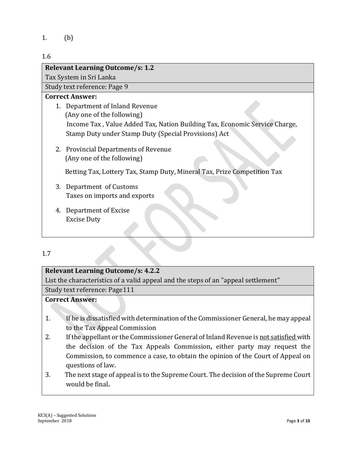1. (b)

#### 1.6

| <b>Relevant Learning Outcome/s: 1.2</b>                                    |
|----------------------------------------------------------------------------|
| Tax System in Sri Lanka                                                    |
| Study text reference: Page 9                                               |
| <b>Correct Answer:</b>                                                     |
| 1. Department of Inland Revenue<br>(Any one of the following)              |
| Income Tax, Value Added Tax, Nation Building Tax, Economic Service Charge, |
| Stamp Duty under Stamp Duty (Special Provisions) Act                       |
| 2. Provincial Departments of Revenue<br>(Any one of the following)         |
| Betting Tax, Lottery Tax, Stamp Duty, Mineral Tax, Prize Competition Tax   |
| 3. Department of Customs                                                   |
| Taxes on imports and exports                                               |
| 4. Department of Excise                                                    |
| <b>Excise Duty</b>                                                         |

#### 1.7

# **Relevant Learning Outcome/s: 4.2.2**

List the characteristics of a valid appeal and the steps of an "appeal settlement"

Study text reference: Page111

#### **Correct Answer:**

- 1. If he is dissatisfied with determination of the Commissioner General, he may appeal to the Tax Appeal Commission
- 2. If the appellant or the Commissioner General of Inland Revenue is not satisfied with the decision of the Tax Appeals Commission**,** either party may request the Commission, to commence a case, to obtain the opinion of the Court of Appeal on questions of law.
- 3. The next stage of appeal is to the Supreme Court. The decision of the Supreme Court would be final**.**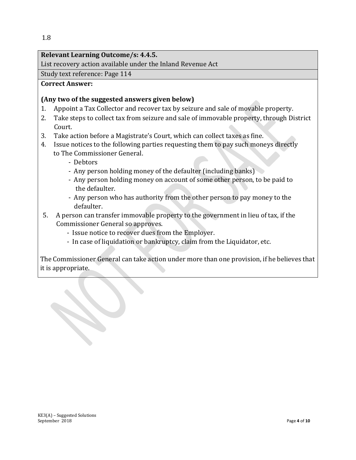#### **Relevant Learning Outcome/s: 4.4.5.**

List recovery action available under the Inland Revenue Act

Study text reference: Page 114

#### **Correct Answer:**

#### **(Any two of the suggested answers given below)**

- 1. Appoint a Tax Collector and recover tax by seizure and sale of movable property.
- 2. Take steps to collect tax from seizure and sale of immovable property, through District Court.
- 3. Take action before a Magistrate's Court, which can collect taxes as fine.
- 4. Issue notices to the following parties requesting them to pay such moneys directly to The Commissioner General.
	- Debtors
	- Any person holding money of the defaulter (including banks)
	- Any person holding money on account of some other person, to be paid to the defaulter.
	- Any person who has authority from the other person to pay money to the defaulter.
- 5. A person can transfer immovable property to the government in lieu of tax, if the Commissioner General so approves.
	- Issue notice to recover dues from the Employer.
	- In case of liquidation or bankruptcy, claim from the Liquidator, etc.

The Commissioner General can take action under more than one provision, if he believes that it is appropriate.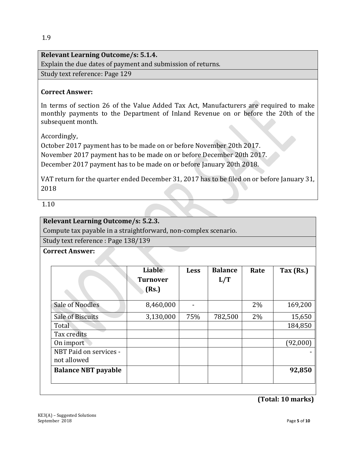#### **Relevant Learning Outcome/s: 5.1.4.**

Explain the due dates of payment and submission of returns.

Study text reference: Page 129

#### **Correct Answer:**

In terms of section 26 of the Value Added Tax Act, Manufacturers are required to make monthly payments to the Department of Inland Revenue on or before the 20th of the subsequent month.

Accordingly,

October 2017 payment has to be made on or before November 20th 2017.

November 2017 payment has to be made on or before December 20th 2017.

December 2017 payment has to be made on or before January 20th 2018.

VAT return for the quarter ended December 31, 2017 has to be filed on or before January 31, 2018

1.10

#### **Relevant Learning Outcome/s: 5.2.3.**

Compute tax payable in a straightforward, non-complex scenario.

Study text reference : Page 138/139

#### **Correct Answer:**

|                                       | <b>Liable</b><br><b>Turnover</b><br>(Rs.) | <b>Less</b> | <b>Balance</b><br>L/T | Rate | Tax $(Rs.)$ |
|---------------------------------------|-------------------------------------------|-------------|-----------------------|------|-------------|
| Sale of Noodles                       | 8,460,000                                 |             |                       | 2%   | 169,200     |
| <b>Sale of Biscuits</b>               | 3,130,000                                 | 75%         | 782,500               | 2%   | 15,650      |
| Total                                 |                                           |             |                       |      | 184,850     |
| Tax credits                           |                                           |             |                       |      |             |
| On import                             |                                           |             |                       |      | (92,000)    |
| NBT Paid on services -<br>not allowed |                                           |             |                       |      |             |
| <b>Balance NBT payable</b>            |                                           |             |                       |      | 92,850      |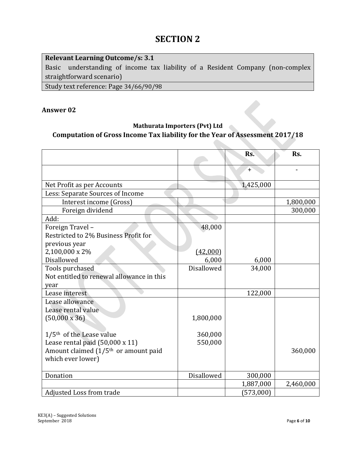| <b>Relevant Learning Outcome/s: 3.1</b>                                        |
|--------------------------------------------------------------------------------|
| Basic understanding of income tax liability of a Resident Company (non-complex |
| straightforward scenario)                                                      |
| Study text reference: Page 34/66/90/98                                         |

#### **Answer 02**

# **Mathurata Importers (Pvt) Ltd Computation of Gross Income Tax liability for the Year of Assessment 2017/18**

|                                                  |            | Rs.       | Rs.       |
|--------------------------------------------------|------------|-----------|-----------|
|                                                  |            | $+$       |           |
| Net Profit as per Accounts                       |            | 1,425,000 |           |
| Less: Separate Sources of Income                 |            |           |           |
| Interest income (Gross)                          |            |           | 1,800,000 |
| Foreign dividend                                 |            |           | 300,000   |
| Add:                                             |            |           |           |
| Foreign Travel -                                 | 48,000     |           |           |
| Restricted to 2% Business Profit for             |            |           |           |
| previous year                                    |            |           |           |
| 2,100,000 x 2%                                   | (42,000)   |           |           |
| Disallowed                                       | 6,000      | 6,000     |           |
| Tools purchased                                  | Disallowed | 34,000    |           |
| Not entitled to renewal allowance in this        |            |           |           |
| year                                             |            |           |           |
| Lease interest                                   |            | 122,000   |           |
| Lease allowance                                  |            |           |           |
| Lease rental value                               |            |           |           |
| $(50,000 \times 36)$                             | 1,800,000  |           |           |
|                                                  |            |           |           |
| $1/5$ <sup>th</sup> of the Lease value           | 360,000    |           |           |
| Lease rental paid (50,000 x 11)                  | 550,000    |           |           |
| Amount claimed (1/5 <sup>th</sup> or amount paid |            |           | 360,000   |
| which ever lower)                                |            |           |           |
| Donation                                         | Disallowed | 300,000   |           |
|                                                  |            | 1,887,000 | 2,460,000 |
| <b>Adjusted Loss from trade</b>                  |            | (573,000) |           |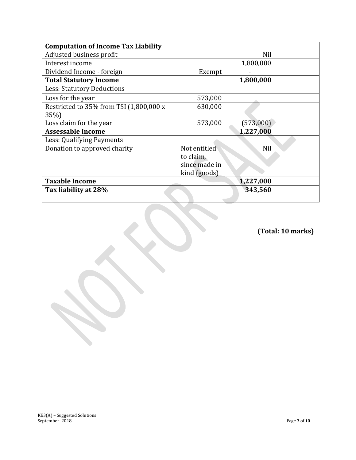| <b>Computation of Income Tax Liability</b>      |                                                            |           |  |
|-------------------------------------------------|------------------------------------------------------------|-----------|--|
| Adjusted business profit                        |                                                            | Nil       |  |
| Interest income                                 |                                                            | 1,800,000 |  |
| Dividend Income - foreign                       | Exempt                                                     |           |  |
| <b>Total Statutory Income</b>                   |                                                            | 1,800,000 |  |
| <b>Less: Statutory Deductions</b>               |                                                            |           |  |
| Loss for the year                               | 573,000                                                    |           |  |
| Restricted to 35% from TSI (1,800,000 x<br>35%) | 630,000                                                    |           |  |
| Loss claim for the year                         | 573,000                                                    | (573,000) |  |
| <b>Assessable Income</b>                        |                                                            | 1,227,000 |  |
| Less: Qualifying Payments                       |                                                            |           |  |
| Donation to approved charity                    | Not entitled<br>to claim,<br>since made in<br>kind (goods) | Nil       |  |
| <b>Taxable Income</b>                           |                                                            | 1,227,000 |  |
| Tax liability at 28%                            |                                                            | 343,560   |  |
|                                                 |                                                            |           |  |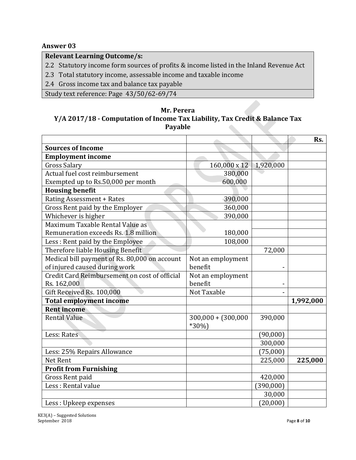#### **Answer 03**

## **Relevant Learning Outcome/s:**

2.2 Statutory income form sources of profits & income listed in the Inland Revenue Act

- 2.3 Total statutory income, assessable income and taxable income
- 2.4 Gross income tax and balance tax payable

Study text reference: Page 43/50/62-69/74

#### **Mr. Perera Y/A 2017/18 - Computation of Income Tax Liability, Tax Credit & Balance Tax Payable**

|                                               |                                 |           | Rs.       |
|-----------------------------------------------|---------------------------------|-----------|-----------|
| <b>Sources of Income</b>                      |                                 |           |           |
| <b>Employment income</b>                      |                                 |           |           |
| <b>Gross Salary</b>                           | 160,000 x 12                    | 1,920,000 |           |
| Actual fuel cost reimbursement                | 380,000                         |           |           |
| Exempted up to Rs.50,000 per month            | 600,000                         |           |           |
| <b>Housing benefit</b>                        |                                 |           |           |
| <b>Rating Assessment + Rates</b>              | 390,000                         |           |           |
| Gross Rent paid by the Employer               | 360,000                         |           |           |
| Whichever is higher                           | 390,000                         |           |           |
| Maximum Taxable Rental Value as               |                                 |           |           |
| Remuneration exceeds Rs. 1.8 million          | 180,000                         |           |           |
| Less: Rent paid by the Employee               | 108,000                         |           |           |
| Therefore liable Housing Benefit              |                                 | 72,000    |           |
| Medical bill payment of Rs. 80,000 on account | Not an employment               |           |           |
| of injured caused during work                 | benefit                         | -         |           |
| Credit Card Reimbursement on cost of official | Not an employment               |           |           |
| Rs. 162,000                                   | benefit                         |           |           |
| Gift Received Rs. 100,000                     | Not Taxable                     |           |           |
| <b>Total employment income</b>                |                                 |           | 1,992,000 |
| <b>Rent income</b>                            |                                 |           |           |
| <b>Rental Value</b>                           | $300,000 + (300,000$<br>$*30\%$ | 390,000   |           |
| Less: Rates                                   |                                 | (90,000)  |           |
|                                               |                                 | 300,000   |           |
| Less: 25% Repairs Allowance                   |                                 | (75,000)  |           |
| Net Rent                                      |                                 | 225,000   | 225,000   |
| <b>Profit from Furnishing</b>                 |                                 |           |           |
| Gross Rent paid                               |                                 | 420,000   |           |
| Less: Rental value                            |                                 | (390,000) |           |
|                                               |                                 | 30,000    |           |
| Less: Upkeep expenses                         |                                 | (20,000)  |           |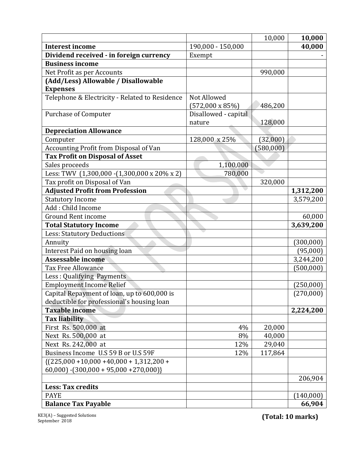|                                                |                         | 10,000    | 10,000     |
|------------------------------------------------|-------------------------|-----------|------------|
| <b>Interest income</b>                         | 190,000 - 150,000       |           | 40,000     |
| Dividend received - in foreign currency        | Exempt                  |           |            |
| <b>Business income</b>                         |                         |           |            |
| Net Profit as per Accounts                     |                         | 990,000   |            |
| (Add/Less) Allowable / Disallowable            |                         |           |            |
| <b>Expenses</b>                                |                         |           |            |
| Telephone & Electricity - Related to Residence | Not Allowed             |           |            |
|                                                | $(572,000 \times 85\%)$ | 486,200   |            |
| <b>Purchase of Computer</b>                    | Disallowed - capital    |           |            |
|                                                | nature                  | 128,000   |            |
| <b>Depreciation Allowance</b>                  |                         |           |            |
| Computer                                       | 128,000 x 25%           | (32,000)  |            |
| Accounting Profit from Disposal of Van         |                         | (580,000) |            |
| <b>Tax Profit on Disposal of Asset</b>         |                         |           |            |
| Sales proceeds                                 | 1,100,000               |           |            |
| Less: TWV (1,300,000 - (1,300,000 x 20% x 2)   | 780,000                 |           |            |
| Tax profit on Disposal of Van                  |                         | 320,000   |            |
| <b>Adjusted Profit from Profession</b>         |                         |           | 1,312,200  |
| <b>Statutory Income</b>                        |                         |           | 3,579,200  |
| Add: Child Income                              |                         |           |            |
| <b>Ground Rent income</b>                      |                         |           | 60,000     |
| <b>Total Statutory Income</b>                  |                         |           | 3,639,200  |
| <b>Less: Statutory Deductions</b>              |                         |           |            |
| Annuity                                        |                         |           | (300, 000) |
| Interest Paid on housing loan                  |                         |           | (95,000)   |
| <b>Assessable income</b>                       |                         |           | 3,244,200  |
| <b>Tax Free Allowance</b>                      |                         |           | (500,000)  |
| Less: Qualifying Payments                      |                         |           |            |
| <b>Employment Income Relief</b>                |                         |           | (250, 000) |
| Capital Repayment of loan, up to 600,000 is    |                         |           | (270,000)  |
| deductible for professional's housing loan     |                         |           |            |
| <b>Taxable income</b>                          |                         |           | 2,224,200  |
| <b>Tax liability</b>                           |                         |           |            |
| First Rs. 500,000 at                           | 4%                      | 20,000    |            |
| Next Rs. 500,000 at                            | 8%                      | 40,000    |            |
| Next Rs. 242,000 at                            | 12%                     | 29,040    |            |
| Business Income U.S 59 B or U.S 59F            | 12%                     | 117,864   |            |
| ${(225,000 + 10,000 + 40,000 + 1,312,200 +$    |                         |           |            |
| $60,000$ ] - $(300,000 + 95,000 + 270,000)$    |                         |           |            |
|                                                |                         |           |            |
|                                                |                         |           | 206,904    |
| <b>Less: Tax credits</b>                       |                         |           |            |
| <b>PAYE</b>                                    |                         |           | (140,000)  |

KE3(A) – Suggested Solutions September 2018 **Page 100 of** *10* **of** *10* **of** *10* **of** *10* **of** *10* **of** *10* **of** *10* **of** *10* **of** *10* **of** *10* **of** *10* **of** *10* **of** *10* **of** *10* **of** *10* **of** *10* **of** *10* **of** *10* **of** *10* **of** *10* **of** *10* **of** *10* **of** *10* **of** *10* **of** *1*